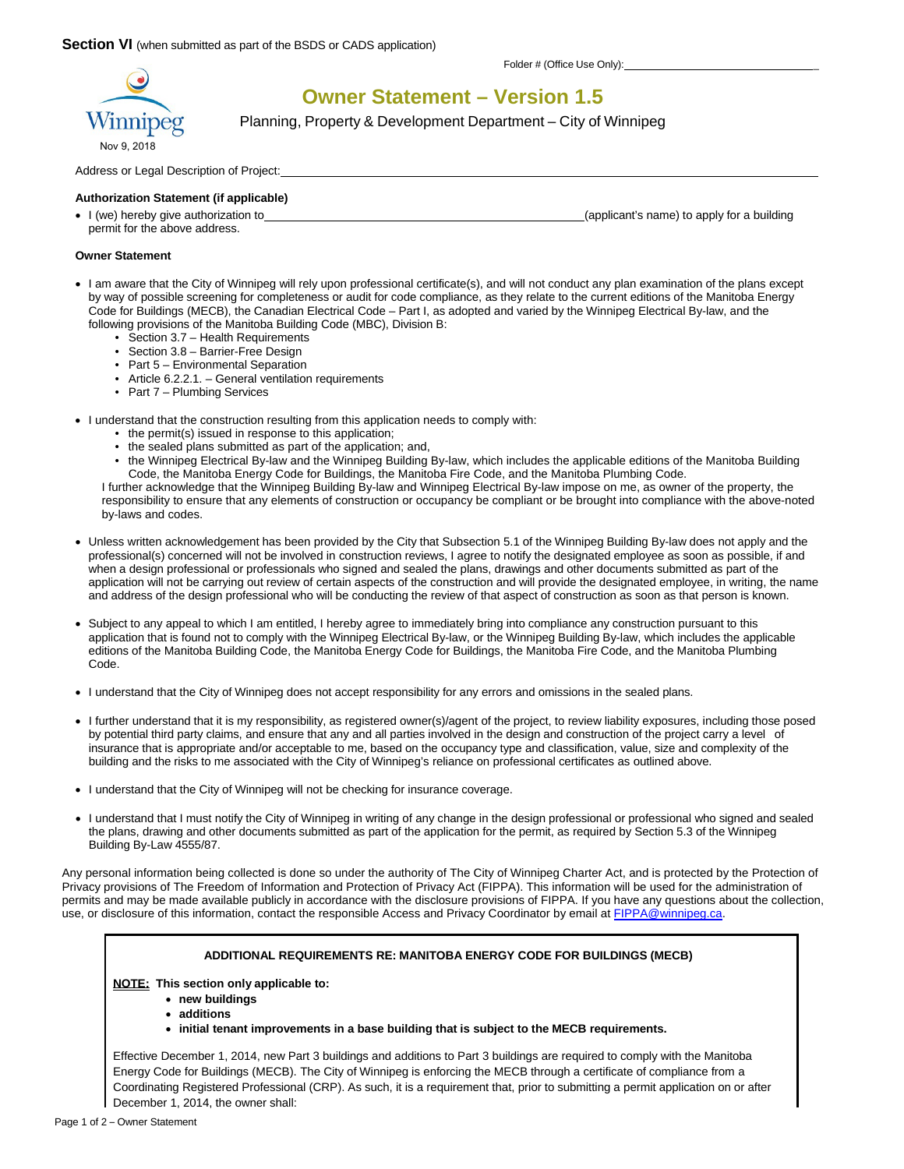

**Owner Statement – Version 1.5**

Planning, Property & Development Department – City of Winnipeg

Address or Legal Description of Project:

#### **Authorization Statement (if applicable)**

permit for the above address.

I (we) hereby give authorization to (applicant's name) to apply for a building

### **Owner Statement**

- I am aware that the City of Winnipeg will rely upon professional certificate(s), and will not conduct any plan examination of the plans except by way of possible screening for completeness or audit for code compliance, as they relate to the current editions of the Manitoba Energy Code for Buildings (MECB), the Canadian Electrical Code – Part I, as adopted and varied by the Winnipeg Electrical By-law, and the following provisions of the Manitoba Building Code (MBC), Division B:
	- Section 3.7 Health Requirements
	- Section 3.8 Barrier-Free Design
	- Part 5 Environmental Separation
	- Article 6.2.2.1. General ventilation requirements
	- Part 7 Plumbing Services
- I understand that the construction resulting from this application needs to comply with:
	- the permit(s) issued in response to this application;
	- the sealed plans submitted as part of the application; and,
	- the Winnipeg Electrical By-law and the Winnipeg Building By-law, which includes the applicable editions of the Manitoba Building Code, the Manitoba Energy Code for Buildings, the Manitoba Fire Code, and the Manitoba Plumbing Code.

I further acknowledge that the Winnipeg Building By-law and Winnipeg Electrical By-law impose on me, as owner of the property, the responsibility to ensure that any elements of construction or occupancy be compliant or be brought into compliance with the above-noted by-laws and codes.

- Unless written acknowledgement has been provided by the City that Subsection 5.1 of the Winnipeg Building By-law does not apply and the professional(s) concerned will not be involved in construction reviews, I agree to notify the designated employee as soon as possible, if and when a design professional or professionals who signed and sealed the plans, drawings and other documents submitted as part of the application will not be carrying out review of certain aspects of the construction and will provide the designated employee, in writing, the name and address of the design professional who will be conducting the review of that aspect of construction as soon as that person is known.
- Subject to any appeal to which I am entitled, I hereby agree to immediately bring into compliance any construction pursuant to this application that is found not to comply with the Winnipeg Electrical By-law, or the Winnipeg Building By-law, which includes the applicable editions of the Manitoba Building Code, the Manitoba Energy Code for Buildings, the Manitoba Fire Code, and the Manitoba Plumbing Code.
- I understand that the City of Winnipeg does not accept responsibility for any errors and omissions in the sealed plans.
- I further understand that it is my responsibility, as registered owner(s)/agent of the project, to review liability exposures, including those posed by potential third party claims, and ensure that any and all parties involved in the design and construction of the project carry a level of insurance that is appropriate and/or acceptable to me, based on the occupancy type and classification, value, size and complexity of the building and the risks to me associated with the City of Winnipeg's reliance on professional certificates as outlined above.
- I understand that the City of Winnipeg will not be checking for insurance coverage.
- I understand that I must notify the City of Winnipeg in writing of any change in the design professional or professional who signed and sealed the plans, drawing and other documents submitted as part of the application for the permit, as required by Section 5.3 of the Winnipeg Building By-Law 4555/87.

Any personal information being collected is done so under the authority of The City of Winnipeg Charter Act, and is protected by the Protection of Privacy provisions of The Freedom of Information and Protection of Privacy Act (FIPPA). This information will be used for the administration of permits and may be made available publicly in accordance with the disclosure provisions of FIPPA. If you have any questions about the collection, use, or disclosure of this information, contact the responsible Access and Privacy Coordinator by email at FIPPA@winnipeg.ca.

## **ADDITIONAL REQUIREMENTS RE: MANITOBA ENERGY CODE FOR BUILDINGS (MECB)**

**NOTE: This section only applicable to:**

- **new buildings**
- **additions**
- **initial tenant improvements in a base building that is subject to the MECB requirements.**

Effective December 1, 2014, new Part 3 buildings and additions to Part 3 buildings are required to comply with the Manitoba Energy Code for Buildings (MECB). The City of Winnipeg is enforcing the MECB through a certificate of compliance from a Coordinating Registered Professional (CRP). As such, it is a requirement that, prior to submitting a permit application on or after December 1, 2014, the owner shall: